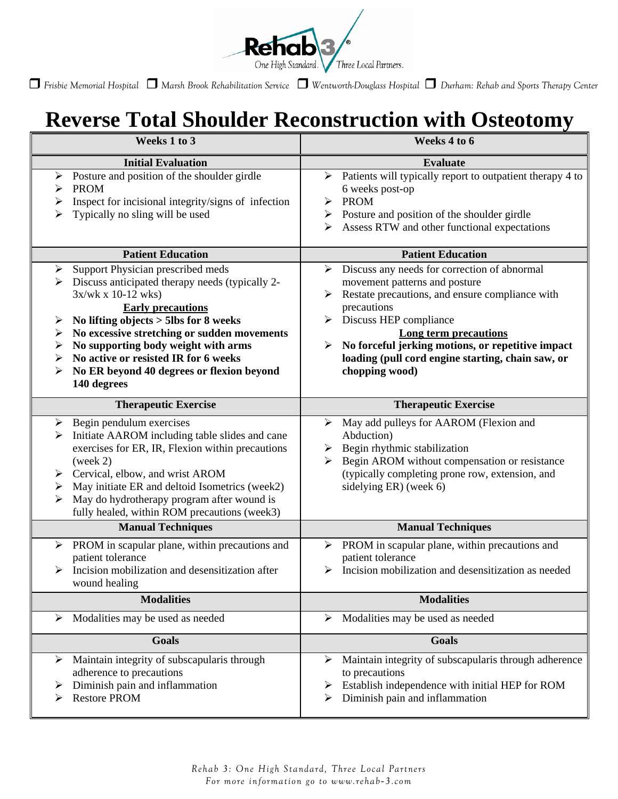

 *Frisbie Memorial Hospital Marsh Brook Rehabilitation Service Wentworth-Douglass Hospital Durham: Rehab and Sports Therapy Center* 

## **Reverse Total Shoulder Reconstruction with Osteotomy**

| Weeks 1 to 3                                                                                                                                                                                                                                                                                                                                                                                         | Weeks 4 to 6                                                                                                                                                                                                                                                                                                                                                          |
|------------------------------------------------------------------------------------------------------------------------------------------------------------------------------------------------------------------------------------------------------------------------------------------------------------------------------------------------------------------------------------------------------|-----------------------------------------------------------------------------------------------------------------------------------------------------------------------------------------------------------------------------------------------------------------------------------------------------------------------------------------------------------------------|
| <b>Initial Evaluation</b>                                                                                                                                                                                                                                                                                                                                                                            | <b>Evaluate</b>                                                                                                                                                                                                                                                                                                                                                       |
| Posture and position of the shoulder girdle<br>➤<br><b>PROM</b><br>Inspect for incisional integrity/signs of infection<br>➤<br>Typically no sling will be used                                                                                                                                                                                                                                       | > Patients will typically report to outpatient therapy 4 to<br>6 weeks post-op<br><b>PROM</b><br>➤<br>$\triangleright$ Posture and position of the shoulder girdle<br>Assess RTW and other functional expectations                                                                                                                                                    |
| <b>Patient Education</b>                                                                                                                                                                                                                                                                                                                                                                             | <b>Patient Education</b>                                                                                                                                                                                                                                                                                                                                              |
| Support Physician prescribed meds<br>➤<br>Discuss anticipated therapy needs (typically 2-<br>➤<br>$3x/wk x 10-12 wks)$<br><b>Early precautions</b><br>No lifting objects > 5lbs for 8 weeks<br>➤<br>No excessive stretching or sudden movements<br>➤<br>No supporting body weight with arms<br>➤<br>No active or resisted IR for 6 weeks<br>No ER beyond 40 degrees or flexion beyond<br>140 degrees | Discuss any needs for correction of abnormal<br>➤<br>movement patterns and posture<br>Restate precautions, and ensure compliance with<br>➤<br>precautions<br>Discuss HEP compliance<br>➤<br><b>Long term precautions</b><br>$\triangleright$ No forceful jerking motions, or repetitive impact<br>loading (pull cord engine starting, chain saw, or<br>chopping wood) |
| <b>Therapeutic Exercise</b>                                                                                                                                                                                                                                                                                                                                                                          | <b>Therapeutic Exercise</b>                                                                                                                                                                                                                                                                                                                                           |
| Begin pendulum exercises<br>➤<br>Initiate AAROM including table slides and cane<br>exercises for ER, IR, Flexion within precautions<br>(week 2)<br>Cervical, elbow, and wrist AROM<br>May initiate ER and deltoid Isometrics (week2)<br>➤<br>May do hydrotherapy program after wound is<br>fully healed, within ROM precautions (week3)                                                              | May add pulleys for AAROM (Flexion and<br>➤<br>Abduction)<br>$\triangleright$ Begin rhythmic stabilization<br>Begin AROM without compensation or resistance<br>≻<br>(typically completing prone row, extension, and<br>sidelying ER) (week 6)                                                                                                                         |
| <b>Manual Techniques</b>                                                                                                                                                                                                                                                                                                                                                                             | <b>Manual Techniques</b>                                                                                                                                                                                                                                                                                                                                              |
| PROM in scapular plane, within precautions and<br>➤<br>patient tolerance<br>Incision mobilization and desensitization after<br>wound healing                                                                                                                                                                                                                                                         | $\triangleright$ PROM in scapular plane, within precautions and<br>patient tolerance<br>Incision mobilization and desensitization as needed                                                                                                                                                                                                                           |
| <b>Modalities</b>                                                                                                                                                                                                                                                                                                                                                                                    | <b>Modalities</b>                                                                                                                                                                                                                                                                                                                                                     |
| Modalities may be used as needed<br>➤                                                                                                                                                                                                                                                                                                                                                                | Modalities may be used as needed<br>➤                                                                                                                                                                                                                                                                                                                                 |
| Goals                                                                                                                                                                                                                                                                                                                                                                                                | <b>Goals</b>                                                                                                                                                                                                                                                                                                                                                          |
| Maintain integrity of subscapularis through<br>≻<br>adherence to precautions<br>Diminish pain and inflammation<br><b>Restore PROM</b>                                                                                                                                                                                                                                                                | Maintain integrity of subscapularis through adherence<br>≻<br>to precautions<br>$\triangleright$ Establish independence with initial HEP for ROM<br>Diminish pain and inflammation<br>➤                                                                                                                                                                               |